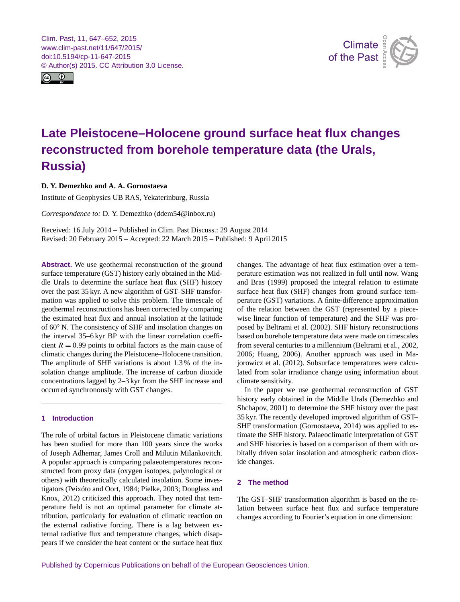<span id="page-0-0"></span>Clim. Past, 11, 647–652, 2015 www.clim-past.net/11/647/2015/ doi:10.5194/cp-11-647-2015 © Author(s) 2015. CC Attribution 3.0 License.





# **Late Pleistocene–Holocene ground surface heat flux changes reconstructed from borehole temperature data (the Urals, Russia)**

# **D. Y. Demezhko and A. A. Gornostaeva**

Institute of Geophysics UB RAS, Yekaterinburg, Russia

*Correspondence to:* D. Y. Demezhko (ddem54@inbox.ru)

Received: 16 July 2014 – Published in Clim. Past Discuss.: 29 August 2014 Revised: 20 February 2015 – Accepted: 22 March 2015 – Published: 9 April 2015

**Abstract.** We use geothermal reconstruction of the ground surface temperature (GST) history early obtained in the Middle Urals to determine the surface heat flux (SHF) history over the past 35 kyr. A new algorithm of GST–SHF transformation was applied to solve this problem. The timescale of geothermal reconstructions has been corrected by comparing the estimated heat flux and annual insolation at the latitude of 60◦ N. The consistency of SHF and insolation changes on the interval 35–6 kyr BP with the linear correlation coefficient  $R = 0.99$  points to orbital factors as the main cause of climatic changes during the Pleistocene–Holocene transition. The amplitude of SHF variations is about 1.3 % of the insolation change amplitude. The increase of carbon dioxide concentrations lagged by 2–3 kyr from the SHF increase and occurred synchronously with GST changes.

# **1 Introduction**

The role of orbital factors in Pleistocene climatic variations has been studied for more than 100 years since the works of Joseph Adhemar, James Croll and Milutin Milankovitch. A popular approach is comparing palaeotemperatures reconstructed from proxy data (oxygen isotopes, palynological or others) with theoretically calculated insolation. Some investigators (Peixóto and Oort, 1984; Pielke, 2003; Douglass and Knox, 2012) criticized this approach. They noted that temperature field is not an optimal parameter for climate attribution, particularly for evaluation of climatic reaction on the external radiative forcing. There is a lag between external radiative flux and temperature changes, which disappears if we consider the heat content or the surface heat flux changes. The advantage of heat flux estimation over a temperature estimation was not realized in full until now. Wang and Bras (1999) proposed the integral relation to estimate surface heat flux (SHF) changes from ground surface temperature (GST) variations. A finite-difference approximation of the relation between the GST (represented by a piecewise linear function of temperature) and the SHF was proposed by Beltrami et al. (2002). SHF history reconstructions based on borehole temperature data were made on timescales from several centuries to a millennium (Beltrami et al., 2002, 2006; Huang, 2006). Another approach was used in Majorowicz et al. (2012). Subsurface temperatures were calculated from solar irradiance change using information about climate sensitivity.

In the paper we use geothermal reconstruction of GST history early obtained in the Middle Urals (Demezhko and Shchapov, 2001) to determine the SHF history over the past 35 kyr. The recently developed improved algorithm of GST– SHF transformation (Gornostaeva, 2014) was applied to estimate the SHF history. Palaeoclimatic interpretation of GST and SHF histories is based on a comparison of them with orbitally driven solar insolation and atmospheric carbon dioxide changes.

# **2 The method**

The GST–SHF transformation algorithm is based on the relation between surface heat flux and surface temperature changes according to Fourier's equation in one dimension: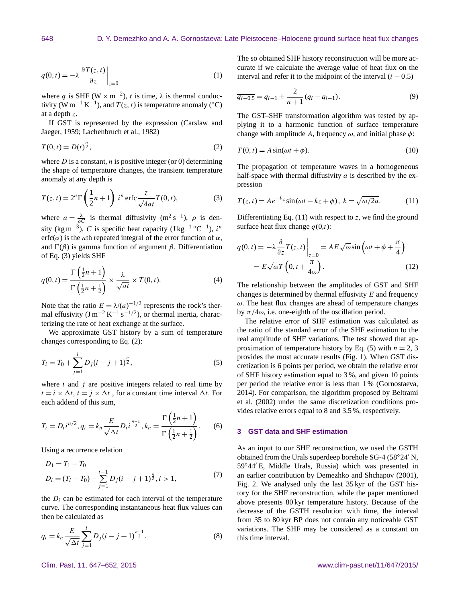$$
q(0,t) = -\lambda \left. \frac{\partial T(z,t)}{\partial z} \right|_{z=0} \tag{1}
$$

where q is SHF ( $W \times m^{-2}$ ), t is time,  $\lambda$  is thermal conductivity (W m<sup>-1</sup> K<sup>-1</sup>), and  $T(z, t)$  is temperature anomaly (°C) at a depth z.

If GST is represented by the expression (Carslaw and Jaeger, 1959; Lachenbruch et al., 1982)

$$
T(0,t) = D(t)^{\frac{n}{2}},
$$
 (2)

where  $D$  is a constant, n is positive integer (or 0) determining the shape of temperature changes, the transient temperature anomaly at any depth is

$$
T(z,t) = 2n \Gamma\left(\frac{1}{2}n+1\right) in \operatorname{erfc} \frac{z}{\sqrt{4at}} T(0,t),
$$
 (3)

where  $a = \frac{\lambda}{\rho C}$  is thermal diffusivity (m<sup>2</sup> s<sup>-1</sup>),  $\rho$  is density (kg m<sup>-3</sup>), C is specific heat capacity (J kg<sup>-1</sup> °C<sup>-1</sup>), i<sup>n</sup> erfc( $\alpha$ ) is the *n*th repeated integral of the error function of  $\alpha$ , and  $\Gamma(\beta)$  is gamma function of argument  $\beta$ . Differentiation of Eq. (3) yields SHF

$$
q(0,t) = \frac{\Gamma\left(\frac{1}{2}n+1\right)}{\Gamma\left(\frac{1}{2}n+\frac{1}{2}\right)} \times \frac{\lambda}{\sqrt{at}} \times T(0,t). \tag{4}
$$

Note that the ratio  $E = \lambda/(a)^{-1/2}$  represents the rock's thermal effusivity  $(J m^{-2} K^{-1} s^{-1/2})$ , or thermal inertia, characterizing the rate of heat exchange at the surface.

We approximate GST history by a sum of temperature changes corresponding to Eq. (2):

$$
T_i = T_0 + \sum_{j=1}^{i} D_j (i - j + 1)^{\frac{n}{2}},
$$
\n(5)

where  $i$  and  $j$  are positive integers related to real time by  $t = i \times \Delta t$ ,  $t = j \times \Delta t$ , for a constant time interval  $\Delta t$ . For each addend of this sum,

$$
T_i = D_i i^{n/2}, q_i = k_n \frac{E}{\sqrt{\Delta t}} D_i i^{\frac{n-1}{2}}, k_n = \frac{\Gamma\left(\frac{1}{2}n + 1\right)}{\Gamma\left(\frac{1}{2}n + \frac{1}{2}\right)}.
$$
 (6)

Using a recurrence relation

$$
D_1 = T_1 - T_0
$$
  
\n
$$
D_i = (T_i - T_0) - \sum_{j=1}^{i-1} D_j (i - j + 1)^{\frac{n}{2}}, i > 1,
$$
\n(7)

the  $D_i$  can be estimated for each interval of the temperature curve. The corresponding instantaneous heat flux values can then be calculated as

$$
q_i = k_n \frac{E}{\sqrt{\Delta t}} \sum_{j=1}^{i} D_j (i - j + 1)^{\frac{n-1}{2}}.
$$
 (8)

The so obtained SHF history reconstruction will be more accurate if we calculate the average value of heat flux on the interval and refer it to the midpoint of the interval  $(i - 0.5)$ 

$$
\overline{q_{i-0.5}} = q_{i-1} + \frac{2}{n+1} (q_i - q_{i-1}).
$$
\n(9)

The GST–SHF transformation algorithm was tested by applying it to a harmonic function of surface temperature change with amplitude A, frequency  $\omega$ , and initial phase  $\phi$ :

$$
T(0, t) = A \sin(\omega t + \phi). \tag{10}
$$

The propagation of temperature waves in a homogeneous half-space with thermal diffusivity  $a$  is described by the expression

$$
T(z,t) = Ae^{-kz} \sin(\omega t - kz + \phi), \ k = \sqrt{\omega/2a}.
$$
 (11)

Differentiating Eq.  $(11)$  with respect to z, we find the ground surface heat flux change  $q(0,t)$ :

$$
q(0, t) = -\lambda \frac{\partial}{\partial z} T(z, t) \Big|_{z=0} = AE \sqrt{\omega} \sin \left( \omega t + \phi + \frac{\pi}{4} \right)
$$

$$
= E \sqrt{\omega} T \left( 0, t + \frac{\pi}{4\omega} \right).
$$
(12)

The relationship between the amplitudes of GST and SHF changes is determined by thermal effusivity  $E$  and frequency  $\omega$ . The heat flux changes are ahead of temperature changes by  $\pi/4\omega$ , i.e. one-eighth of the oscillation period.

The relative error of SHF estimation was calculated as the ratio of the standard error of the SHF estimation to the real amplitude of SHF variations. The test showed that approximation of temperature history by Eq. (5) with  $n = 2, 3$ provides the most accurate results (Fig. 1). When GST discretization is 6 points per period, we obtain the relative error of SHF history estimation equal to 3 %, and given 10 points per period the relative error is less than 1 % (Gornostaeva, 2014). For comparison, the algorithm proposed by Beltrami et al. (2002) under the same discretization conditions provides relative errors equal to 8 and 3.5 %, respectively.

#### **3 GST data and SHF estimation**

As an input to our SHF reconstruction, we used the GSTH obtained from the Urals superdeep borehole  $SG-4$  ( $58°24'$  N,  $59°44'E$ , Middle Urals, Russia) which was presented in an earlier contribution by Demezhko and Shchapov (2001), Fig. 2. We analysed only the last 35 kyr of the GST history for the SHF reconstruction, while the paper mentioned above presents 80 kyr temperature history. Because of the decrease of the GSTH resolution with time, the interval from 35 to 80 kyr BP does not contain any noticeable GST variations. The SHF may be considered as a constant on this time interval.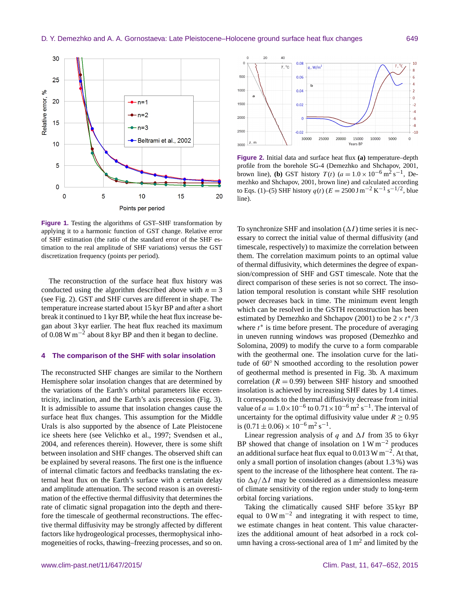

**Figure 1.** Testing the algorithms of GST–SHF transformation by applying it to a harmonic function of GST change. Relative error of SHF estimation (the ratio of the standard error of the SHF estimation to the real amplitude of SHF variations) versus the GST discretization frequency (points per period).

The reconstruction of the surface heat flux history was conducted using the algorithm described above with  $n = 3$ (see Fig. 2). GST and SHF curves are different in shape. The temperature increase started about 15 kyr BP and after a short break it continued to 1 kyr BP, while the heat flux increase began about 3 kyr earlier. The heat flux reached its maximum of 0.08 W  $\text{m}^{-2}$  about 8 kyr BP and then it began to decline.

# **4 The comparison of the SHF with solar insolation**

The reconstructed SHF changes are similar to the Northern Hemisphere solar insolation changes that are determined by the variations of the Earth's orbital parameters like eccentricity, inclination, and the Earth's axis precession (Fig. 3). It is admissible to assume that insolation changes cause the surface heat flux changes. This assumption for the Middle Urals is also supported by the absence of Late Pleistocene ice sheets here (see Velichko et al., 1997; Svendsen et al., 2004, and references therein). However, there is some shift between insolation and SHF changes. The observed shift can be explained by several reasons. The first one is the influence of internal climatic factors and feedbacks translating the external heat flux on the Earth's surface with a certain delay and amplitude attenuation. The second reason is an overestimation of the effective thermal diffusivity that determines the rate of climatic signal propagation into the depth and therefore the timescale of geothermal reconstructions. The effective thermal diffusivity may be strongly affected by different factors like hydrogeological processes, thermophysical inhomogeneities of rocks, thawing–freezing processes, and so on.



**Figure 2.** Initial data and surface heat flux **(a)** temperature–depth profile from the borehole SG-4 (Demezhko and Shchapov, 2001, brown line), **(b)** GST history  $T(t)$  ( $a = 1.0 \times 10^{-6} \text{ m}^2 \text{ s}^{-1}$ , Demezhko and Shchapov, 2001, brown line) and calculated according to Eqs. (1)–(5) SHF history  $q(t)$  ( $E = 2500 \,\text{J m}^{-2} \,\text{K}^{-1} \,\text{s}^{-1/2}$ , blue line).

To synchronize SHF and insolation  $(\Delta I)$  time series it is necessary to correct the initial value of thermal diffusivity (and timescale, respectively) to maximize the correlation between them. The correlation maximum points to an optimal value of thermal diffusivity, which determines the degree of expansion/compression of SHF and GST timescale. Note that the direct comparison of these series is not so correct. The insolation temporal resolution is constant while SHF resolution power decreases back in time. The minimum event length which can be resolved in the GSTH reconstruction has been estimated by Demezhko and Shchapov (2001) to be  $2 \times t^*/3$ where  $t^*$  is time before present. The procedure of averaging in uneven running windows was proposed (Demezhko and Solomina, 2009) to modify the curve to a form comparable with the geothermal one. The insolation curve for the latitude of 60◦ N smoothed according to the resolution power of geothermal method is presented in Fig. 3b. A maximum correlation ( $R = 0.99$ ) between SHF history and smoothed insolation is achieved by increasing SHF dates by 1.4 times. It corresponds to the thermal diffusivity decrease from initial value of  $a = 1.0 \times 10^{-6}$  to  $0.71 \times 10^{-6}$  m<sup>2</sup> s<sup>-1</sup>. The interval of uncertainty for the optimal diffusivity value under  $R \ge 0.95$ is  $(0.71 \pm 0.06) \times 10^{-6}$  m<sup>2</sup> s<sup>-1</sup>.

Linear regression analysis of q and  $\Delta I$  from 35 to 6 kyr BP showed that change of insolation on  $1 \text{ W m}^{-2}$  produces an additional surface heat flux equal to 0.013 W m<sup>-2</sup>. At that, only a small portion of insolation changes (about 1.3 %) was spent to the increase of the lithosphere heat content. The ratio  $\Delta q/\Delta I$  may be considered as a dimensionless measure of climate sensitivity of the region under study to long-term orbital forcing variations.

Taking the climatically caused SHF before 35 kyr BP equal to  $0 \text{ W m}^{-2}$  and integrating it with respect to time, we estimate changes in heat content. This value characterizes the additional amount of heat adsorbed in a rock column having a cross-sectional area of  $1 \text{ m}^2$  and limited by the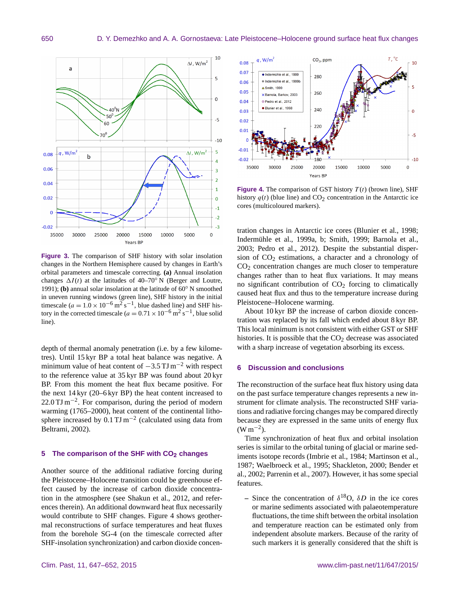

**Figure 3.** The comparison of SHF history with solar insolation changes in the Northern Hemisphere caused by changes in Earth's orbital parameters and timescale correcting. **(a)** Annual insolation changes  $\Delta I(t)$  at the latitudes of 40–70<sup>°</sup> N (Berger and Loutre, 1991); **(b)** annual solar insolation at the latitude of 60◦ N smoothed in uneven running windows (green line), SHF history in the initial timescale ( $a = 1.0 \times 10^{-6}$  m<sup>2</sup> s<sup>-1</sup>, blue dashed line) and SHF history in the corrected timescale ( $a = 0.71 \times 10^{-6}$  m<sup>2</sup> s<sup>-1</sup>, blue solid line).

depth of thermal anomaly penetration (i.e. by a few kilometres). Until 15 kyr BP a total heat balance was negative. A minimum value of heat content of  $-3.5$  TJ m<sup>-2</sup> with respect to the reference value at 35 kyr BP was found about 20 kyr BP. From this moment the heat flux became positive. For the next 14 kyr (20–6 kyr BP) the heat content increased to 22.0 TJ m<sup>-2</sup>. For comparison, during the period of modern warming (1765–2000), heat content of the continental lithosphere increased by  $0.1$  TJ m<sup>-2</sup> (calculated using data from Beltrami, 2002).

### **5 The comparison of the SHF with CO2 changes**

Another source of the additional radiative forcing during the Pleistocene–Holocene transition could be greenhouse effect caused by the increase of carbon dioxide concentration in the atmosphere (see Shakun et al., 2012, and references therein). An additional downward heat flux necessarily would contribute to SHF changes. Figure 4 shows geothermal reconstructions of surface temperatures and heat fluxes from the borehole SG-4 (on the timescale corrected after SHF-insolation synchronization) and carbon dioxide concen-



**Figure 4.** The comparison of GST history  $T(t)$  (brown line), SHF history  $q(t)$  (blue line) and  $CO<sub>2</sub>$  concentration in the Antarctic ice cores (multicoloured markers).

tration changes in Antarctic ice cores (Blunier et al., 1998; Indermühle et al., 1999a, b; Smith, 1999; Barnola et al., 2003; Pedro et al., 2012). Despite the substantial dispersion of  $CO<sub>2</sub>$  estimations, a character and a chronology of CO<sub>2</sub> concentration changes are much closer to temperature changes rather than to heat flux variations. It may means no significant contribution of  $CO<sub>2</sub>$  forcing to climatically caused heat flux and thus to the temperature increase during Pleistocene–Holocene warming.

About 10 kyr BP the increase of carbon dioxide concentration was replaced by its fall which ended about 8 kyr BP. This local minimum is not consistent with either GST or SHF histories. It is possible that the  $CO<sub>2</sub>$  decrease was associated with a sharp increase of vegetation absorbing its excess.

#### **6 Discussion and conclusions**

The reconstruction of the surface heat flux history using data on the past surface temperature changes represents a new instrument for climate analysis. The reconstructed SHF variations and radiative forcing changes may be compared directly because they are expressed in the same units of energy flux  $(W m^{-2})$ .

Time synchronization of heat flux and orbital insolation series is similar to the orbital tuning of glacial or marine sediments isotope records (Imbrie et al., 1984; Martinson et al., 1987; Waelbroeck et al., 1995; Shackleton, 2000; Bender et al., 2002; Parrenin et al., 2007). However, it has some special features.

**–** Since the concentration of  $\delta^{18}$ O,  $\delta D$  in the ice cores or marine sediments associated with palaeotemperature fluctuations, the time shift between the orbital insolation and temperature reaction can be estimated only from independent absolute markers. Because of the rarity of such markers it is generally considered that the shift is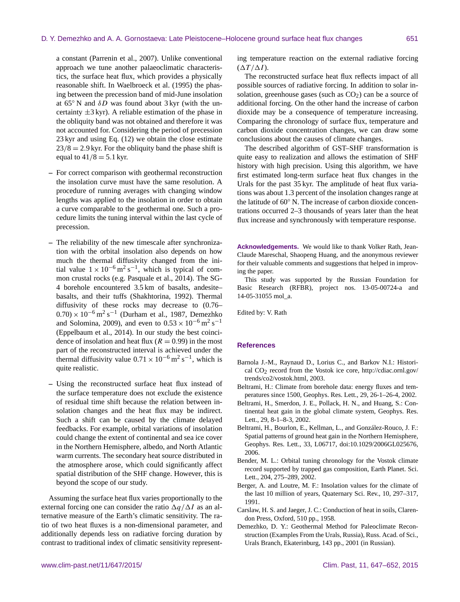a constant (Parrenin et al., 2007). Unlike conventional approach we tune another palaeoclimatic characteristics, the surface heat flux, which provides a physically reasonable shift. In Waelbroeck et al. (1995) the phasing between the precession band of mid-June insolation at  $65°$  N and  $\delta D$  was found about 3 kyr (with the uncertainty  $\pm 3$  kyr). A reliable estimation of the phase in the obliquity band was not obtained and therefore it was not accounted for. Considering the period of precession 23 kyr and using Eq. (12) we obtain the close estimate  $23/8 = 2.9$  kyr. For the obliquity band the phase shift is equal to  $41/8 = 5.1$  kyr.

- **–** For correct comparison with geothermal reconstruction the insolation curve must have the same resolution. A procedure of running averages with changing window lengths was applied to the insolation in order to obtain a curve comparable to the geothermal one. Such a procedure limits the tuning interval within the last cycle of precession.
- **–** The reliability of the new timescale after synchronization with the orbital insolation also depends on how much the thermal diffusivity changed from the initial value  $1 \times 10^{-6}$  m<sup>2</sup> s<sup>-1</sup>, which is typical of common crustal rocks (e.g. Pasquale et al., 2014). The SG-4 borehole encountered 3.5 km of basalts, andesite– basalts, and their tuffs (Shakhtorina, 1992). Thermal diffusivity of these rocks may decrease to (0.76–  $(0.70) \times 10^{-6}$  m<sup>2</sup> s<sup>-1</sup> (Durham et al., 1987, Demezhko and Solomina, 2009), and even to  $0.53 \times 10^{-6}$  m<sup>2</sup> s<sup>-1</sup> (Eppelbaum et al., 2014). In our study the best coincidence of insolation and heat flux ( $R = 0.99$ ) in the most part of the reconstructed interval is achieved under the thermal diffusivity value  $0.71 \times 10^{-6}$  m<sup>2</sup> s<sup>-1</sup>, which is quite realistic.
- **–** Using the reconstructed surface heat flux instead of the surface temperature does not exclude the existence of residual time shift because the relation between insolation changes and the heat flux may be indirect. Such a shift can be caused by the climate delayed feedbacks. For example, orbital variations of insolation could change the extent of continental and sea ice cover in the Northern Hemisphere, albedo, and North Atlantic warm currents. The secondary heat source distributed in the atmosphere arose, which could significantly affect spatial distribution of the SHF change. However, this is beyond the scope of our study.

Assuming the surface heat flux varies proportionally to the external forcing one can consider the ratio  $\Delta q/\Delta I$  as an alternative measure of the Earth's climatic sensitivity. The ratio of two heat fluxes is a non-dimensional parameter, and additionally depends less on radiative forcing duration by contrast to traditional index of climatic sensitivity representing temperature reaction on the external radiative forcing  $(\Delta T / \Delta I)$ .

The reconstructed surface heat flux reflects impact of all possible sources of radiative forcing. In addition to solar insolation, greenhouse gases (such as  $CO<sub>2</sub>$ ) can be a source of additional forcing. On the other hand the increase of carbon dioxide may be a consequence of temperature increasing. Comparing the chronology of surface flux, temperature and carbon dioxide concentration changes, we can draw some conclusions about the causes of climate changes.

The described algorithm of GST–SHF transformation is quite easy to realization and allows the estimation of SHF history with high precision. Using this algorithm, we have first estimated long-term surface heat flux changes in the Urals for the past 35 kyr. The amplitude of heat flux variations was about 1.3 percent of the insolation changes range at the latitude of 60◦ N. The increase of carbon dioxide concentrations occurred 2–3 thousands of years later than the heat flux increase and synchronously with temperature response.

**Acknowledgements.** We would like to thank Volker Rath, Jean-Claude Mareschal, Shaopeng Huang, and the anonymous reviewer for their valuable comments and suggestions that helped in improving the paper.

This study was supported by the Russian Foundation for Basic Research (RFBR), project nos. 13-05-00724-a and 14-05-31055 mol\_a.

Edited by: V. Rath

#### **References**

- Barnola J.-M., Raynaud D., Lorius C., and Barkov N.I.: Historical CO2 record from the Vostok ice core, [http://cdiac.ornl.gov/](http://cdiac.ornl.gov/trends/co2/vostok.html) [trends/co2/vostok.html,](http://cdiac.ornl.gov/trends/co2/vostok.html) 2003.
- Beltrami, H.: Climate from borehole data: energy fluxes and temperatures since 1500, Geophys. Res. Lett., 29, 26-1–26-4, 2002.
- Beltrami, H., Smerdon, J. E., Pollack, H. N., and Huang, S.: Continental heat gain in the global climate system, Geophys. Res. Lett., 29, 8-1–8-3, 2002.
- Beltrami, H., Bourlon, E., Kellman, L., and González-Rouco, J. F.: Spatial patterns of ground heat gain in the Northern Hemisphere, Geophys. Res. Lett., 33, L06717, doi[:10.1029/2006GL025676,](http://dx.doi.org/10.1029/2006GL025676) 2006.
- Bender, M. L.: Orbital tuning chronology for the Vostok climate record supported by trapped gas composition, Earth Planet. Sci. Lett., 204, 275–289, 2002.
- Berger, A. and Loutre, M. F.: Insolation values for the climate of the last 10 million of years, Quaternary Sci. Rev., 10, 297–317, 1991.
- Carslaw, H. S. and Jaeger, J. C.: Conduction of heat in soils, Clarendon Press, Oxford, 510 pp., 1958.
- Demezhko, D. Y.: Geothermal Method for Paleoclimate Reconstruction (Examples From the Urals, Russia), Russ. Acad. of Sci., Urals Branch, Ekaterinburg, 143 pp., 2001 (in Russian).